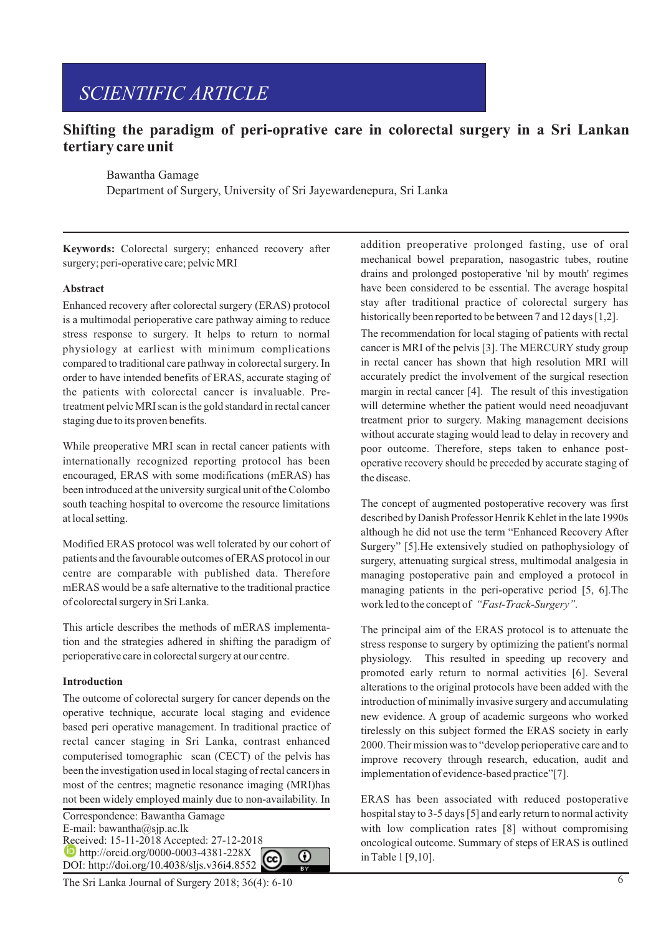# *SCIENTIFIC ARTICLE*

## **Shifting the paradigm of peri-oprative care in colorectal surgery in a Sri Lankan tertiary care unit**

Bawantha Gamage

Department of Surgery, University of Sri Jayewardenepura, Sri Lanka

**Keywords:** Colorectal surgery; enhanced recovery after surgery; peri-operative care; pelvic MRI

### **Abstract**

Enhanced recovery after colorectal surgery (ERAS) protocol is a multimodal perioperative care pathway aiming to reduce stress response to surgery. It helps to return to normal physiology at earliest with minimum complications compared to traditional care pathway in colorectal surgery. In order to have intended benefits of ERAS, accurate staging of the patients with colorectal cancer is invaluable. Pretreatment pelvic MRI scan is the gold standard in rectal cancer staging due to its proven benefits.

While preoperative MRI scan in rectal cancer patients with internationally recognized reporting protocol has been encouraged, ERAS with some modifications (mERAS) has been introduced at the university surgical unit of the Colombo south teaching hospital to overcome the resource limitations at local setting.

Modified ERAS protocol was well tolerated by our cohort of patients and the favourable outcomes of ERAS protocol in our centre are comparable with published data. Therefore mERAS would be a safe alternative to the traditional practice of colorectal surgery in Sri Lanka.

This article describes the methods of mERAS implementation and the strategies adhered in shifting the paradigm of perioperative care in colorectal surgery at our centre.

### **Introduction**

The outcome of colorectal surgery for cancer depends on the operative technique, accurate local staging and evidence based peri operative management. In traditional practice of rectal cancer staging in Sri Lanka, contrast enhanced computerised tomographic scan (CECT) of the pelvis has been the investigation used in local staging of rectal cancers in most of the centres; magnetic resonance imaging (MRI)has not been widely employed mainly due to non-availability. In

Correspondence: Bawantha Gamage E-mail: bawantha@sjp.ac.lk Received: 15-11-2018 Accepted: 27-12-2018 **http://orcid.org/0000-0003-4381-228X** 0 DOI: http://doi.org/10.4038/sljs.v36i4.8552

The Sri Lanka Journal of Surgery 2018; 36(4): 6-10 6

addition preoperative prolonged fasting, use of oral mechanical bowel preparation, nasogastric tubes, routine drains and prolonged postoperative 'nil by mouth' regimes have been considered to be essential. The average hospital stay after traditional practice of colorectal surgery has historically been reported to be between 7 and 12 days [1,2].

The recommendation for local staging of patients with rectal cancer is MRI of the pelvis [3]. The MERCURY study group in rectal cancer has shown that high resolution MRI will accurately predict the involvement of the surgical resection margin in rectal cancer [4]. The result of this investigation will determine whether the patient would need neoadjuvant treatment prior to surgery. Making management decisions without accurate staging would lead to delay in recovery and poor outcome. Therefore, steps taken to enhance postoperative recovery should be preceded by accurate staging of the disease.

The concept of augmented postoperative recovery was first described by Danish Professor Henrik Kehlet in the late 1990s although he did not use the term "Enhanced Recovery After Surgery" [5].He extensively studied on pathophysiology of surgery, attenuating surgical stress, multimodal analgesia in managing postoperative pain and employed a protocol in managing patients in the peri-operative period [5, 6].The work led to the concept of *"Fast-Track-Surgery".*

The principal aim of the ERAS protocol is to attenuate the stress response to surgery by optimizing the patient's normal physiology. This resulted in speeding up recovery and promoted early return to normal activities [6]. Several alterations to the original protocols have been added with the introduction of minimally invasive surgery and accumulating new evidence. A group of academic surgeons who worked tirelessly on this subject formed the ERAS society in early 2000. Their mission was to "develop perioperative care and to improve recovery through research, education, audit and implementation of evidence-based practice"[7].

ERAS has been associated with reduced postoperative hospital stay to 3-5 days [5] and early return to normal activity with low complication rates [8] without compromising oncological outcome. Summary of steps of ERAS is outlined in Table 1 [9,10].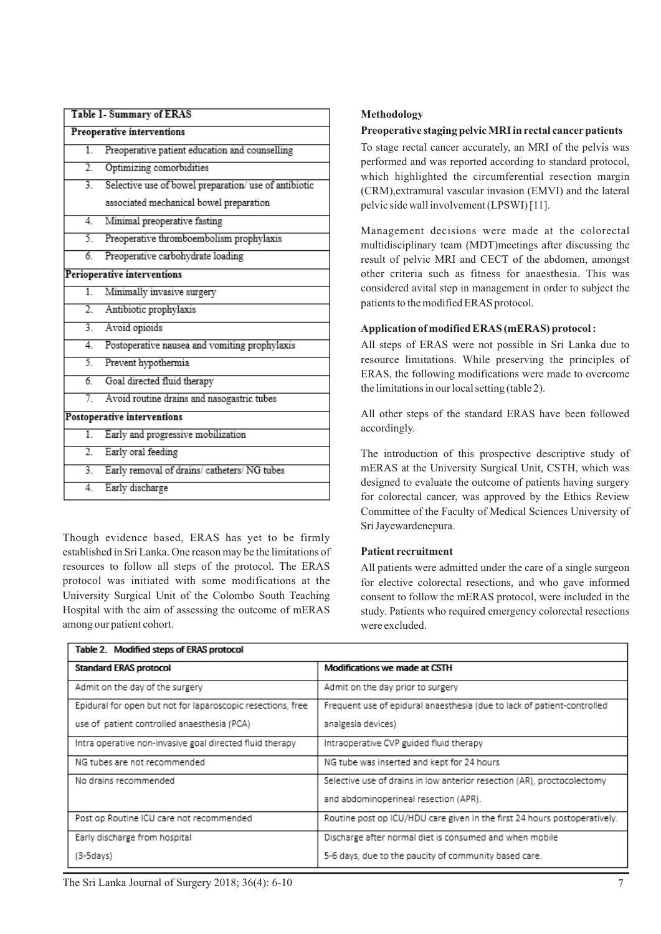| Table 1- Summary of ERAS    |                                                       |  |
|-----------------------------|-------------------------------------------------------|--|
| Preoperative interventions  |                                                       |  |
| $\overline{1}$ .            | Preoperative patient education and counselling        |  |
| $\overline{2}$ .            | Optimizing comorbidities                              |  |
| $\overline{3}$ .            | Selective use of bowel preparation/ use of antibiotic |  |
|                             | associated mechanical bowel preparation               |  |
| 4.                          | Minimal preoperative fasting                          |  |
| 5.                          | Preoperative thromboembolism prophylaxis              |  |
| 6.                          | Preoperative carbohydrate loading                     |  |
| Perioperative interventions |                                                       |  |
| 1.                          | Minimally invasive surgery                            |  |
| 2.                          | Antibiotic prophylaxis                                |  |
| $\overline{3}$ .            | Avoid opioids                                         |  |
| 4.                          | Postoperative nausea and vomiting prophylaxis         |  |
| 5.                          | Prevent hypothermia                                   |  |
| $\overline{6}$              | Goal directed fluid therapy                           |  |
| 7                           | Avoid routine drains and nasogastric tubes            |  |
| Postoperative interventions |                                                       |  |
| $\overline{1}$ .            | Early and progressive mobilization                    |  |
| $\overline{2}$ .            | Early oral feeding                                    |  |
| $\overline{3}$ .            | Early removal of drains/ catheters/ NG tubes          |  |
| 4.                          | Early discharge                                       |  |

Though evidence based, ERAS has yet to be firmly established in Sri Lanka. One reason may be the limitations of resources to follow all steps of the protocol. The ERAS protocol was initiated with some modifications at the University Surgical Unit of the Colombo South Teaching Hospital with the aim of assessing the outcome of mERAS among our patient cohort.

 $\overline{\cdots}$ 

### **Methodology**

### **Preoperative staging pelvic MRI in rectal cancerpatients**

To stage rectal cancer accurately, an MRI of the pelvis was performed and was reported according to standard protocol, which highlighted the circumferential resection margin (CRM),extramural vascular invasion (EMVI) and the lateral pelvic side wall involvement (LPSWI) [11].

Management decisions were made at the colorectal multidisciplinary team (MDT)meetings after discussing the result of pelvic MRI and CECT of the abdomen, amongst other criteria such as fitness for anaesthesia. This was considered avital step in management in order to subject the patients to the modified ERAS protocol.

### **Application of modified ERAS (mERAS) protocol :**

All steps of ERAS were not possible in Sri Lanka due to resource limitations. While preserving the principles of ERAS, the following modifications were made to overcome the limitations in our local setting (table 2).

All other steps of the standard ERAS have been followed accordingly.

The introduction of this prospective descriptive study of mERAS at the University Surgical Unit, CSTH, which was designed to evaluate the outcome of patients having surgery for colorectal cancer, was approved by the Ethics Review Committee of the Faculty of Medical Sciences University of Sri Jayewardenepura.

### **Patient recruitment**

All patients were admitted under the care of a single surgeon for elective colorectal resections, and who gave informed consent to follow the mERAS protocol, were included in the study. Patients who required emergency colorectal resections were excluded.

| Table 2. Modified steps of ERAS protocol                    |                                                                           |  |  |
|-------------------------------------------------------------|---------------------------------------------------------------------------|--|--|
| <b>Standard ERAS protocol</b>                               | Modifications we made at CSTH                                             |  |  |
| Admit on the day of the surgery                             | Admit on the day prior to surgery                                         |  |  |
| Epidural for open but not for laparoscopic resections, free | Frequent use of epidural anaesthesia (due to lack of patient-controlled   |  |  |
| use of patient controlled anaesthesia (PCA)                 | analgesia devices)                                                        |  |  |
| Intra operative non-invasive goal directed fluid therapy    | Intraoperative CVP guided fluid therapy                                   |  |  |
| NG tubes are not recommended                                | NG tube was inserted and kept for 24 hours                                |  |  |
| No drains recommended                                       | Selective use of drains in low anterior resection (AR), proctocolectomy   |  |  |
|                                                             | and abdominoperineal resection (APR).                                     |  |  |
| Post op Routine ICU care not recommended                    | Routine post op ICU/HDU care given in the first 24 hours postoperatively. |  |  |
| Early discharge from hospital                               | Discharge after normal diet is consumed and when mobile                   |  |  |
| (3-5days)                                                   | 5-6 days, due to the paucity of community based care.                     |  |  |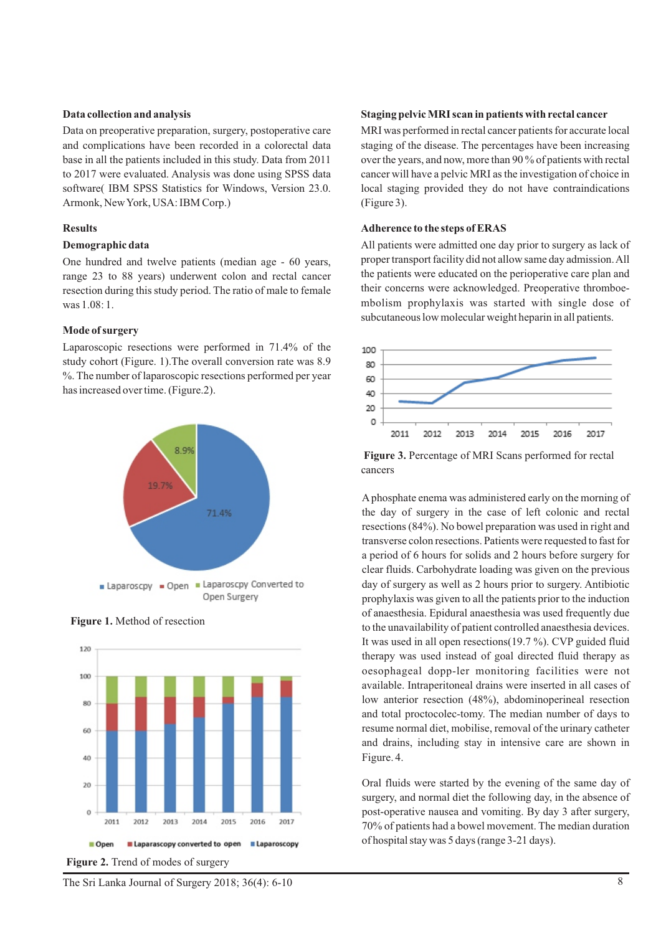### **Data collection and analysis**

Data on preoperative preparation, surgery, postoperative care and complications have been recorded in a colorectal data base in all the patients included in this study. Data from 2011 to 2017 were evaluated. Analysis was done using SPSS data software( IBM SPSS Statistics for Windows, Version 23.0. Armonk, New York, USA: IBM Corp.)

### **Results**

### **Demographic data**

One hundred and twelve patients (median age - 60 years, range 23 to 88 years) underwent colon and rectal cancer resection during this study period. The ratio of male to female was 1.08: 1.

### **Mode of surgery**

Laparoscopic resections were performed in 71.4% of the study cohort (Figure. 1).The overall conversion rate was 8.9 %. The number of laparoscopic resections performed per year has increased over time. (Figure.2).





### **Figure 1.** Method of resection

**Figure 2.** Trend of modes of surgery

### **Staging pelvic MRI scan in patients with rectal cancer**

MRI was performed in rectal cancer patients for accurate local staging of the disease. The percentages have been increasing over the years, and now, more than 90 % of patients with rectal cancer will have a pelvic MRI as the investigation of choice in local staging provided they do not have contraindications (Figure 3).

### **Adherence to the steps of ERAS**

All patients were admitted one day prior to surgery as lack of proper transport facility did not allow same day admission. All the patients were educated on the perioperative care plan and their concerns were acknowledged. Preoperative thromboembolism prophylaxis was started with single dose of subcutaneous low molecular weight heparin in all patients.



 **Figure 3.** Percentage of MRI Scans performed for rectal cancers

Aphosphate enema was administered early on the morning of the day of surgery in the case of left colonic and rectal resections (84%). No bowel preparation was used in right and transverse colon resections. Patients were requested to fast for a period of 6 hours for solids and 2 hours before surgery for clear fluids. Carbohydrate loading was given on the previous day of surgery as well as 2 hours prior to surgery. Antibiotic prophylaxis was given to all the patients prior to the induction of anaesthesia. Epidural anaesthesia was used frequently due to the unavailability of patient controlled anaesthesia devices. It was used in all open resections  $(19.7 \%)$ . CVP guided fluid therapy was used instead of goal directed fluid therapy as oesophageal dopp-ler monitoring facilities were not available. Intraperitoneal drains were inserted in all cases of low anterior resection (48%), abdominoperineal resection and total proctocolec-tomy. The median number of days to resume normal diet, mobilise, removal of the urinary catheter and drains, including stay in intensive care are shown in Figure. 4.

Oral fluids were started by the evening of the same day of surgery, and normal diet the following day, in the absence of post-operative nausea and vomiting. By day 3 after surgery, 70% of patients had a bowel movement. The median duration of hospital stay was 5 days (range 3-21 days).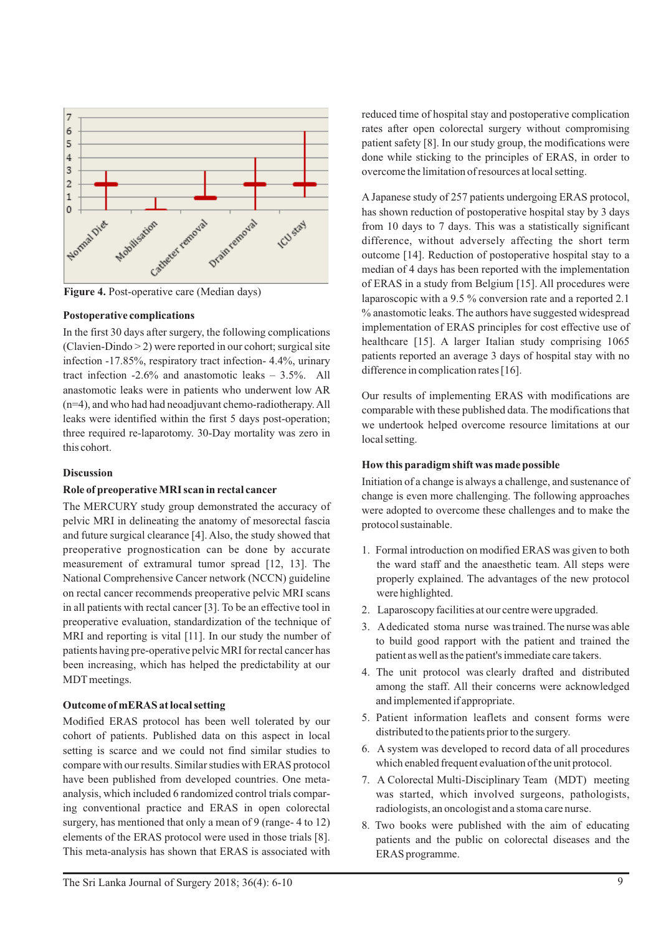

### **Postoperative complications**

In the first 30 days after surgery, the following complications (Clavien-Dindo > 2) were reported in our cohort; surgical site infection -17.85%, respiratory tract infection- 4.4%, urinary tract infection -2.6% and anastomotic leaks – 3.5%. All anastomotic leaks were in patients who underwent low AR (n=4), and who had had neoadjuvant chemo-radiotherapy. All leaks were identified within the first 5 days post-operation; three required re-laparotomy. 30-Day mortality was zero in this cohort.

### **Discussion**

### **Role of preoperative MRI scan in rectal cancer**

The MERCURY study group demonstrated the accuracy of pelvic MRI in delineating the anatomy of mesorectal fascia and future surgical clearance [4]. Also, the study showed that preoperative prognostication can be done by accurate measurement of extramural tumor spread [12, 13]. The National Comprehensive Cancer network (NCCN) guideline on rectal cancer recommends preoperative pelvic MRI scans in all patients with rectal cancer [3]. To be an effective tool in preoperative evaluation, standardization of the technique of MRI and reporting is vital [11]. In our study the number of patients having pre-operative pelvic MRI for rectal cancer has been increasing, which has helped the predictability at our MDT meetings.

### **Outcome of mERAS at local setting**

Modified ERAS protocol has been well tolerated by our cohort of patients. Published data on this aspect in local setting is scarce and we could not find similar studies to compare with our results. Similar studies with ERAS protocol have been published from developed countries. One metaanalysis, which included 6 randomized control trials comparing conventional practice and ERAS in open colorectal surgery, has mentioned that only a mean of 9 (range- 4 to 12) elements of the ERAS protocol were used in those trials [8]. This meta-analysis has shown that ERAS is associated with reduced time of hospital stay and postoperative complication rates after open colorectal surgery without compromising patient safety [8]. In our study group, the modifications were done while sticking to the principles of ERAS, in order to overcome the limitation of resources at local setting.

A Japanese study of 257 patients undergoing ERAS protocol, has shown reduction of postoperative hospital stay by 3 days from 10 days to 7 days. This was a statistically significant difference, without adversely affecting the short term outcome [14]. Reduction of postoperative hospital stay to a median of 4 days has been reported with the implementation of ERAS in a study from Belgium [15]. All procedures were laparoscopic with a 9.5 % conversion rate and a reported 2.1 % anastomotic leaks. The authors have suggested widespread implementation of ERAS principles for cost effective use of healthcare [15]. A larger Italian study comprising 1065 patients reported an average 3 days of hospital stay with no difference in complication rates [16].

Our results of implementing ERAS with modifications are comparable with these published data. The modifications that we undertook helped overcome resource limitations at our local setting.

### **How this paradigm shift was made possible**

Initiation of a change is always a challenge, and sustenance of change is even more challenging. The following approaches were adopted to overcome these challenges and to make the protocol sustainable.

- 1. Formal introduction on modified ERAS was given to both the ward staff and the anaesthetic team. All steps were properly explained. The advantages of the new protocol were highlighted.
- 2. Laparoscopy facilities at our centre were upgraded.
- 3. Adedicated stoma nurse was trained. The nurse was able to build good rapport with the patient and trained the patient as well as the patient's immediate care takers.
- 4. The unit protocol was clearly drafted and distributed among the staff. All their concerns were acknowledged and implemented if appropriate.
- 5. Patient information leaflets and consent forms were distributed to the patients prior to the surgery.
- 6. A system was developed to record data of all procedures which enabled frequent evaluation of the unit protocol.
- 7. A Colorectal Multi-Disciplinary Team (MDT) meeting was started, which involved surgeons, pathologists, radiologists, an oncologist and a stoma care nurse.
- 8. Two books were published with the aim of educating patients and the public on colorectal diseases and the ERAS programme.